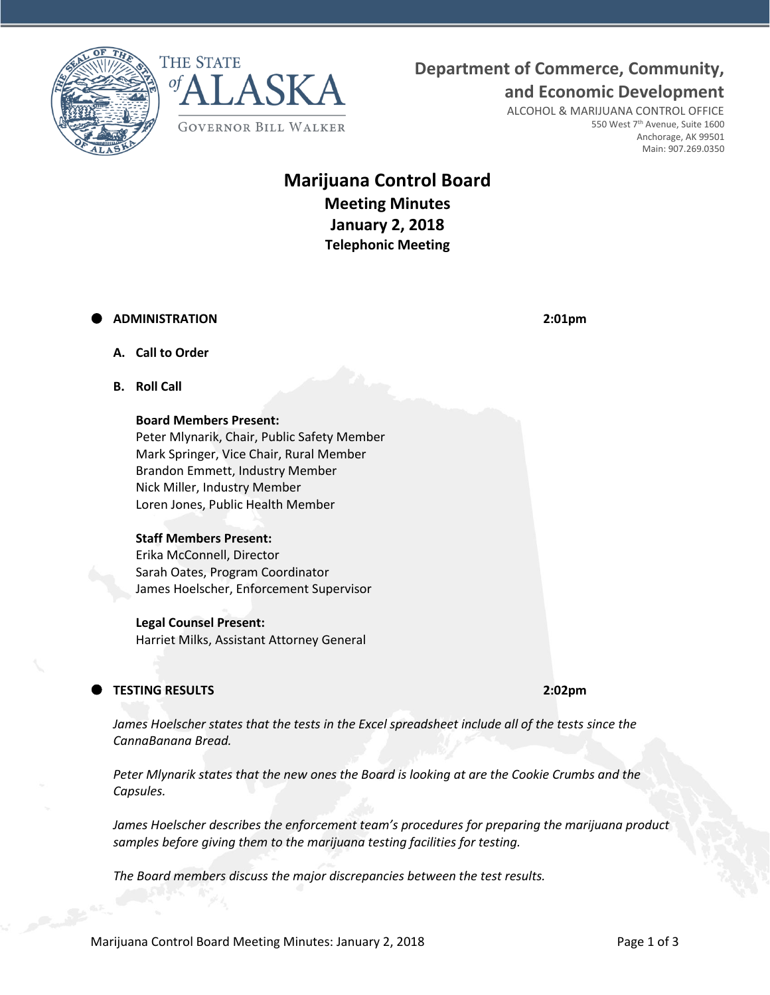**Department of Commerce, Community,**





**and Economic Development** ALCOHOL & MARIJUANA CONTROL OFFICE 550 West 7<sup>th</sup> Avenue, Suite 1600 Anchorage, AK 99501

Main: 907.269.0350

# **Marijuana Control Board Meeting Minutes January 2, 2018 Telephonic Meeting**

## **ADMINISTRATION 2:01pm**

- **A. Call to Order**
- **B. Roll Call**

#### **Board Members Present:**

Peter Mlynarik, Chair, Public Safety Member Mark Springer, Vice Chair, Rural Member Brandon Emmett, Industry Member Nick Miller, Industry Member Loren Jones, Public Health Member

#### **Staff Members Present:**

Erika McConnell, Director Sarah Oates, Program Coordinator James Hoelscher, Enforcement Supervisor

## **Legal Counsel Present:**

Harriet Milks, Assistant Attorney General

# **TESTING RESULTS 2:02pm**

*James Hoelscher states that the tests in the Excel spreadsheet include all of the tests since the CannaBanana Bread.*

*Peter Mlynarik states that the new ones the Board is looking at are the Cookie Crumbs and the Capsules.*

*James Hoelscher describes the enforcement team's procedures for preparing the marijuana product samples before giving them to the marijuana testing facilities for testing.*

*The Board members discuss the major discrepancies between the test results.*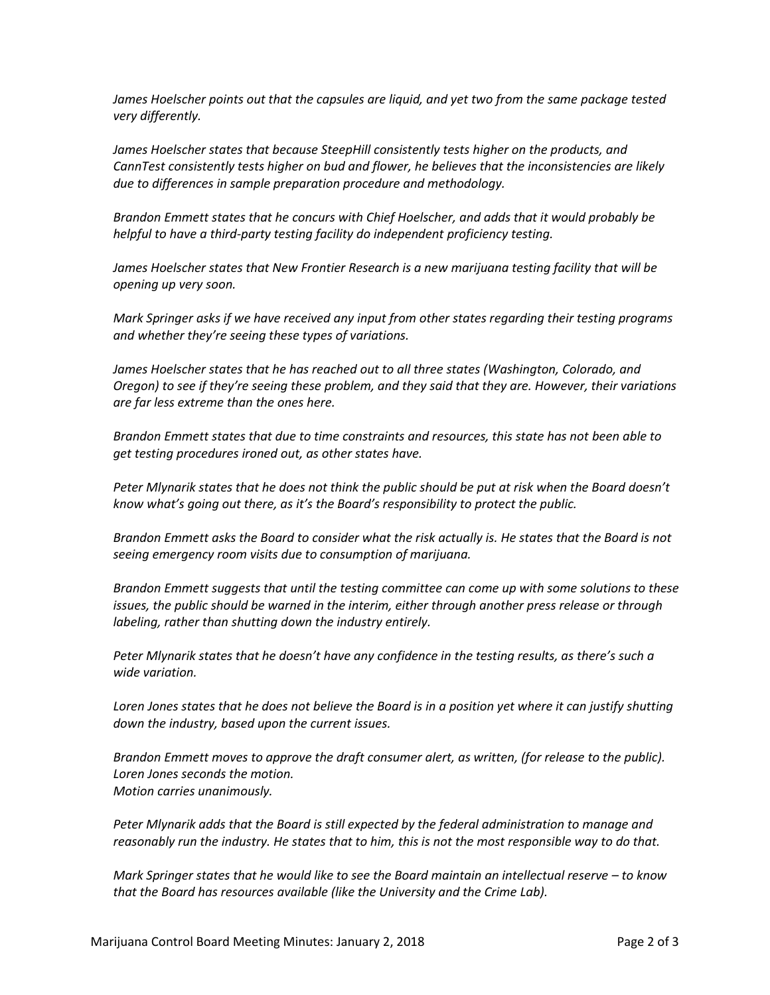*James Hoelscher points out that the capsules are liquid, and yet two from the same package tested very differently.*

*James Hoelscher states that because SteepHill consistently tests higher on the products, and CannTest consistently tests higher on bud and flower, he believes that the inconsistencies are likely due to differences in sample preparation procedure and methodology.*

*Brandon Emmett states that he concurs with Chief Hoelscher, and adds that it would probably be helpful to have a third-party testing facility do independent proficiency testing.*

*James Hoelscher states that New Frontier Research is a new marijuana testing facility that will be opening up very soon.*

*Mark Springer asks if we have received any input from other states regarding their testing programs and whether they're seeing these types of variations.*

James Hoelscher states that he has reached out to all three states (Washington, Colorado, and *Oregon) to see if they're seeing these problem, and they said that they are. However, their variations are far less extreme than the ones here.*

*Brandon Emmett states that due to time constraints and resources, this state has not been able to get testing procedures ironed out, as other states have.* 

*Peter Mlynarik states that he does not think the public should be put at risk when the Board doesn't know what's going out there, as it's the Board's responsibility to protect the public.*

*Brandon Emmett asks the Board to consider what the risk actually is. He states that the Board is not seeing emergency room visits due to consumption of marijuana.*

*Brandon Emmett suggests that until the testing committee can come up with some solutions to these issues, the public should be warned in the interim, either through another press release or through labeling, rather than shutting down the industry entirely.*

*Peter Mlynarik states that he doesn't have any confidence in the testing results, as there's such a wide variation.*

*Loren Jones states that he does not believe the Board is in a position yet where it can justify shutting down the industry, based upon the current issues.*

*Brandon Emmett moves to approve the draft consumer alert, as written, (for release to the public). Loren Jones seconds the motion. Motion carries unanimously.* 

*Peter Mlynarik adds that the Board is still expected by the federal administration to manage and reasonably run the industry. He states that to him, this is not the most responsible way to do that.*

*Mark Springer states that he would like to see the Board maintain an intellectual reserve – to know that the Board has resources available (like the University and the Crime Lab).*